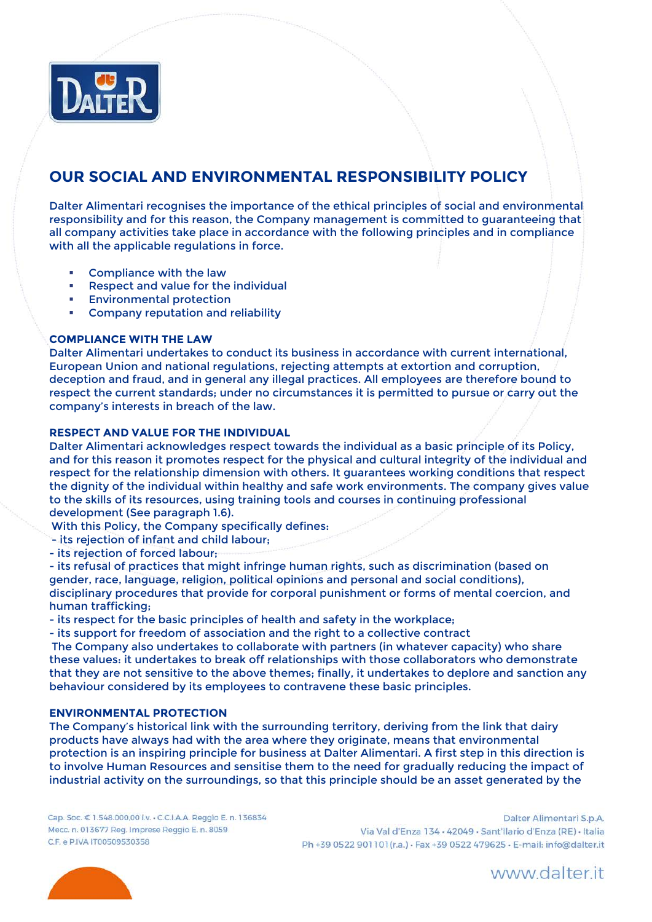

# **OUR SOCIAL AND ENVIRONMENTAL RESPONSIBILITY POLICY**

Dalter Alimentari recognises the importance of the ethical principles of social and environmental responsibility and for this reason, the Company management is committed to guaranteeing that all company activities take place in accordance with the following principles and in compliance with all the applicable regulations in force.

- [Compliance with the](javascript:void(0);) law
- [Respect and value for the individual](javascript:void(0);)
- [Environmental protection](javascript:void(0);)
- [Company reputation and reliability](javascript:void(0);)

## **COMPLIANCE WITH THE LAW**

Dalter Alimentari undertakes to conduct its business in accordance with current international, European Union and national regulations, rejecting attempts at extortion and corruption, deception and fraud, and in general any illegal practices. All employees are therefore bound to respect the current standards; under no circumstances it is permitted to pursue or carry out the company's interests in breach of the law.

### **RESPECT AND VALUE FOR THE INDIVIDUAL**

Dalter Alimentari acknowledges respect towards the individual as a basic principle of its Policy, and for this reason it promotes respect for the physical and cultural integrity of the individual and respect for the relationship dimension with others. It guarantees working conditions that respect the dignity of the individual within healthy and safe work environments. The company gives value to the skills of its resources, using training tools and courses in continuing professional development (See paragraph 1.6).

With this Policy, the Company specifically defines:

- its rejection of infant and child labour;
- its rejection of forced labour;

- its refusal of practices that might infringe human rights, such as discrimination (based on gender, race, language, religion, political opinions and personal and social conditions), disciplinary procedures that provide for corporal punishment or forms of mental coercion, and human trafficking;

- its respect for the basic principles of health and safety in the workplace;

- its support for freedom of association and the right to a collective contract

The Company also undertakes to collaborate with partners (in whatever capacity) who share these values: it undertakes to break off relationships with those collaborators who demonstrate that they are not sensitive to the above themes; finally, it undertakes to deplore and sanction any behaviour considered by its employees to contravene these basic principles.

### **ENVIRONMENTAL PROTECTION**

The Company's historical link with the surrounding territory, deriving from the link that dairy products have always had with the area where they originate, means that environmental protection is an inspiring principle for business at Dalter Alimentari. A first step in this direction is to involve Human Resources and sensitise them to the need for gradually reducing the impact of industrial activity on the surroundings, so that this principle should be an asset generated by the

Cap. Soc. € 1.548.000,00 i.v. - C.C.I.A.A. Reggio E. n. 136834 Mecc. n. 013677 Reg. Imprese Reggio E. n. 8059 C.F. e P.IVA IT00509530358

Dalter Alimentari S.p.A. Via Val d'Enza 134 - 42049 - Sant'Ilario d'Enza (RE) - Italia Ph +39 0522 901101(r.a.) · Fax +39 0522 479625 · E-mail: info@dalter.it